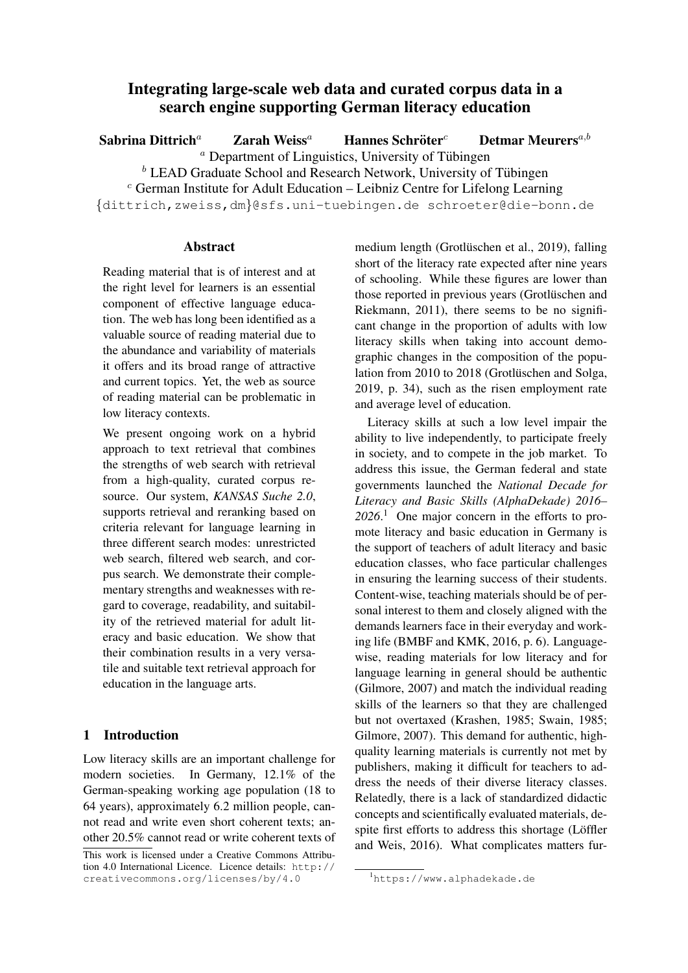# Integrating large-scale web data and curated corpus data in a search engine supporting German literacy education

Sabrina Dittrich<sup>a</sup> Zarah Weiss<sup>a</sup> Hannes Schröter<sup>c</sup> Detmar Meurers<sup>a,b</sup>  $\alpha$  Department of Linguistics, University of Tübingen  $b$  LEAD Graduate School and Research Network, University of Tübingen  $c$  German Institute for Adult Education – Leibniz Centre for Lifelong Learning {dittrich,zweiss,dm}@sfs.uni-tuebingen.de schroeter@die-bonn.de

### Abstract

Reading material that is of interest and at the right level for learners is an essential component of effective language education. The web has long been identified as a valuable source of reading material due to the abundance and variability of materials it offers and its broad range of attractive and current topics. Yet, the web as source of reading material can be problematic in low literacy contexts.

We present ongoing work on a hybrid approach to text retrieval that combines the strengths of web search with retrieval from a high-quality, curated corpus resource. Our system, *KANSAS Suche 2.0*, supports retrieval and reranking based on criteria relevant for language learning in three different search modes: unrestricted web search, filtered web search, and corpus search. We demonstrate their complementary strengths and weaknesses with regard to coverage, readability, and suitability of the retrieved material for adult literacy and basic education. We show that their combination results in a very versatile and suitable text retrieval approach for education in the language arts.

# 1 Introduction

Low literacy skills are an important challenge for modern societies. In Germany, 12.1% of the German-speaking working age population (18 to 64 years), approximately 6.2 million people, cannot read and write even short coherent texts; another 20.5% cannot read or write coherent texts of

medium length (Grotlüschen et al., [2019\)](#page-14-0), falling short of the literacy rate expected after nine years of schooling. While these figures are lower than those reported in previous years (Grotlüschen and [Riekmann,](#page-14-1) [2011\)](#page-14-1), there seems to be no significant change in the proportion of adults with low literacy skills when taking into account demographic changes in the composition of the population from 2010 to 2018 (Grotlüschen and Solga, [2019,](#page-14-2) p. 34), such as the risen employment rate and average level of education.

Literacy skills at such a low level impair the ability to live independently, to participate freely in society, and to compete in the job market. To address this issue, the German federal and state governments launched the *National Decade for Literacy and Basic Skills (AlphaDekade) 2016– 2026*. [1](#page-0-0) One major concern in the efforts to promote literacy and basic education in Germany is the support of teachers of adult literacy and basic education classes, who face particular challenges in ensuring the learning success of their students. Content-wise, teaching materials should be of personal interest to them and closely aligned with the demands learners face in their everyday and working life [\(BMBF and KMK,](#page-12-0) [2016,](#page-12-0) p. 6). Languagewise, reading materials for low literacy and for language learning in general should be authentic [\(Gilmore,](#page-14-3) [2007\)](#page-14-3) and match the individual reading skills of the learners so that they are challenged but not overtaxed [\(Krashen,](#page-14-4) [1985;](#page-14-4) [Swain,](#page-15-0) [1985;](#page-15-0) [Gilmore,](#page-14-3) [2007\)](#page-14-3). This demand for authentic, highquality learning materials is currently not met by publishers, making it difficult for teachers to address the needs of their diverse literacy classes. Relatedly, there is a lack of standardized didactic concepts and scientifically evaluated materials, despite first efforts to address this shortage (Löffler [and Weis,](#page-14-5) [2016\)](#page-14-5). What complicates matters fur-

This work is licensed under a Creative Commons Attribution 4.0 International Licence. Licence details: [http://](http://creativecommons.org/licenses/by/4.0) [creativecommons.org/licenses/by/4.0](http://creativecommons.org/licenses/by/4.0)

<span id="page-0-0"></span><sup>1</sup><https://www.alphadekade.de>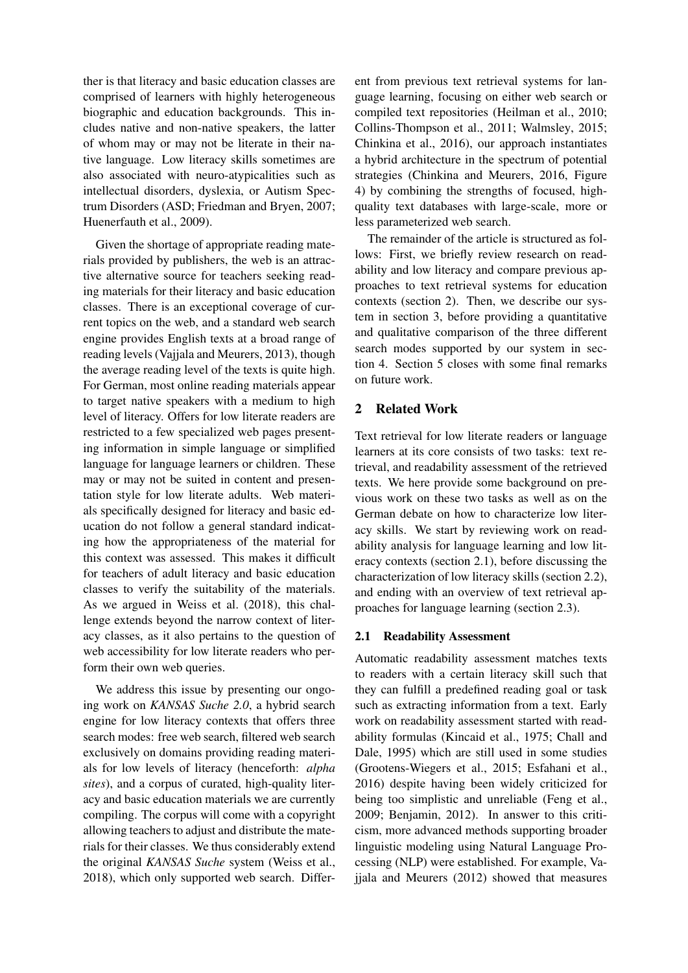ther is that literacy and basic education classes are comprised of learners with highly heterogeneous biographic and education backgrounds. This includes native and non-native speakers, the latter of whom may or may not be literate in their native language. Low literacy skills sometimes are also associated with neuro-atypicalities such as intellectual disorders, dyslexia, or Autism Spectrum Disorders (ASD; [Friedman and Bryen,](#page-13-0) [2007;](#page-13-0) [Huenerfauth et al.,](#page-14-6) [2009\)](#page-14-6).

Given the shortage of appropriate reading materials provided by publishers, the web is an attractive alternative source for teachers seeking reading materials for their literacy and basic education classes. There is an exceptional coverage of current topics on the web, and a standard web search engine provides English texts at a broad range of reading levels [\(Vajjala and Meurers,](#page-15-1) [2013\)](#page-15-1), though the average reading level of the texts is quite high. For German, most online reading materials appear to target native speakers with a medium to high level of literacy. Offers for low literate readers are restricted to a few specialized web pages presenting information in simple language or simplified language for language learners or children. These may or may not be suited in content and presentation style for low literate adults. Web materials specifically designed for literacy and basic education do not follow a general standard indicating how the appropriateness of the material for this context was assessed. This makes it difficult for teachers of adult literacy and basic education classes to verify the suitability of the materials. As we argued in [Weiss et al.](#page-15-2) [\(2018\)](#page-15-2), this challenge extends beyond the narrow context of literacy classes, as it also pertains to the question of web accessibility for low literate readers who perform their own web queries.

We address this issue by presenting our ongoing work on *KANSAS Suche 2.0*, a hybrid search engine for low literacy contexts that offers three search modes: free web search, filtered web search exclusively on domains providing reading materials for low levels of literacy (henceforth: *alpha sites*), and a corpus of curated, high-quality literacy and basic education materials we are currently compiling. The corpus will come with a copyright allowing teachers to adjust and distribute the materials for their classes. We thus considerably extend the original *KANSAS Suche* system [\(Weiss et al.,](#page-15-2) [2018\)](#page-15-2), which only supported web search. Different from previous text retrieval systems for language learning, focusing on either web search or compiled text repositories [\(Heilman et al.,](#page-14-7) [2010;](#page-14-7) [Collins-Thompson et al.,](#page-13-1) [2011;](#page-13-1) [Walmsley,](#page-15-3) [2015;](#page-15-3) [Chinkina et al.,](#page-13-2) [2016\)](#page-13-2), our approach instantiates a hybrid architecture in the spectrum of potential strategies [\(Chinkina and Meurers,](#page-13-3) [2016,](#page-13-3) Figure 4) by combining the strengths of focused, highquality text databases with large-scale, more or less parameterized web search.

The remainder of the article is structured as follows: First, we briefly review research on readability and low literacy and compare previous approaches to text retrieval systems for education contexts (section [2\)](#page-1-0). Then, we describe our system in section [3,](#page-4-0) before providing a quantitative and qualitative comparison of the three different search modes supported by our system in section [4.](#page-7-0) Section [5](#page-12-1) closes with some final remarks on future work.

# <span id="page-1-0"></span>2 Related Work

Text retrieval for low literate readers or language learners at its core consists of two tasks: text retrieval, and readability assessment of the retrieved texts. We here provide some background on previous work on these two tasks as well as on the German debate on how to characterize low literacy skills. We start by reviewing work on readability analysis for language learning and low literacy contexts (section [2.1\)](#page-1-1), before discussing the characterization of low literacy skills (section [2.2\)](#page-2-0), and ending with an overview of text retrieval approaches for language learning (section [2.3\)](#page-3-0).

### <span id="page-1-1"></span>2.1 Readability Assessment

Automatic readability assessment matches texts to readers with a certain literacy skill such that they can fulfill a predefined reading goal or task such as extracting information from a text. Early work on readability assessment started with readability formulas [\(Kincaid et al.,](#page-14-8) [1975;](#page-14-8) [Chall and](#page-13-4) [Dale,](#page-13-4) [1995\)](#page-13-4) which are still used in some studies [\(Grootens-Wiegers et al.,](#page-14-9) [2015;](#page-14-9) [Esfahani et al.,](#page-13-5) [2016\)](#page-13-5) despite having been widely criticized for being too simplistic and unreliable [\(Feng et al.,](#page-13-6) [2009;](#page-13-6) [Benjamin,](#page-12-2) [2012\)](#page-12-2). In answer to this criticism, more advanced methods supporting broader linguistic modeling using Natural Language Processing (NLP) were established. For example, [Va](#page-15-4)[jjala and Meurers](#page-15-4) [\(2012\)](#page-15-4) showed that measures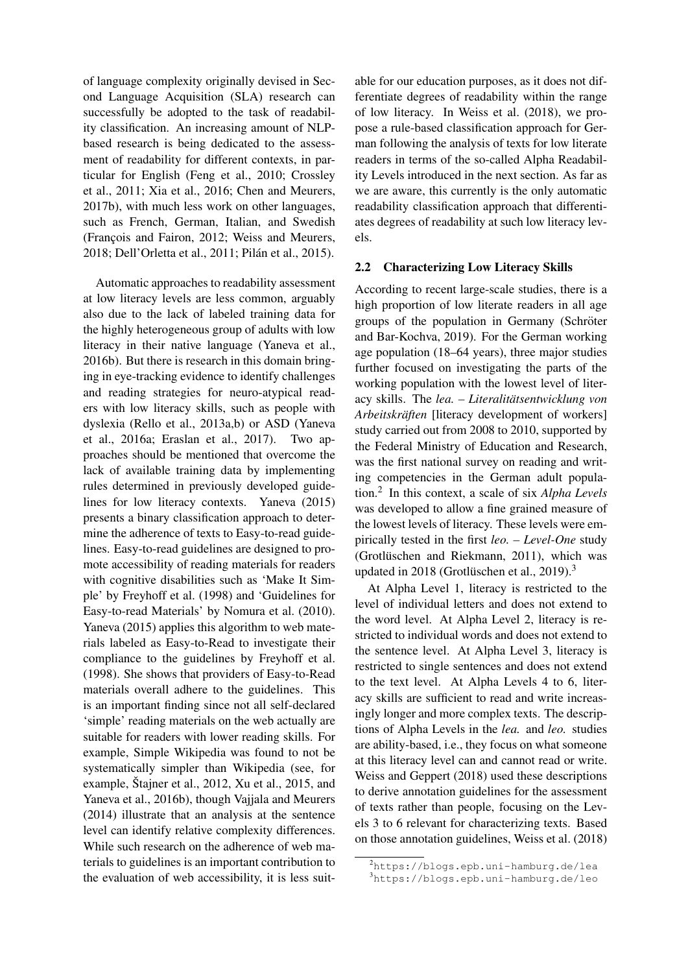of language complexity originally devised in Second Language Acquisition (SLA) research can successfully be adopted to the task of readability classification. An increasing amount of NLPbased research is being dedicated to the assessment of readability for different contexts, in particular for English [\(Feng et al.,](#page-13-7) [2010;](#page-13-7) [Crossley](#page-13-8) [et al.,](#page-13-8) [2011;](#page-13-8) [Xia et al.,](#page-15-5) [2016;](#page-15-5) [Chen and Meurers,](#page-13-9) [2017b\)](#page-13-9), with much less work on other languages, such as French, German, Italian, and Swedish (François and Fairon, [2012;](#page-13-10) [Weiss and Meurers,](#page-15-6) [2018;](#page-15-6) [Dell'Orletta et al.,](#page-13-11) [2011;](#page-13-11) Pilán et al., [2015\)](#page-14-10).

Automatic approaches to readability assessment at low literacy levels are less common, arguably also due to the lack of labeled training data for the highly heterogeneous group of adults with low literacy in their native language [\(Yaneva et al.,](#page-15-7) [2016b\)](#page-15-7). But there is research in this domain bringing in eye-tracking evidence to identify challenges and reading strategies for neuro-atypical readers with low literacy skills, such as people with dyslexia [\(Rello et al.,](#page-15-8) [2013a,](#page-15-8)[b\)](#page-15-9) or ASD [\(Yaneva](#page-15-10) [et al.,](#page-15-10) [2016a;](#page-15-10) [Eraslan et al.,](#page-13-12) [2017\)](#page-13-12). Two approaches should be mentioned that overcome the lack of available training data by implementing rules determined in previously developed guidelines for low literacy contexts. [Yaneva](#page-15-11) [\(2015\)](#page-15-11) presents a binary classification approach to determine the adherence of texts to Easy-to-read guidelines. Easy-to-read guidelines are designed to promote accessibility of reading materials for readers with cognitive disabilities such as 'Make It Simple' by [Freyhoff et al.](#page-13-13) [\(1998\)](#page-13-13) and 'Guidelines for Easy-to-read Materials' by [Nomura et al.](#page-14-11) [\(2010\)](#page-14-11). [Yaneva](#page-15-11) [\(2015\)](#page-15-11) applies this algorithm to web materials labeled as Easy-to-Read to investigate their compliance to the guidelines by [Freyhoff et al.](#page-13-13) [\(1998\)](#page-13-13). She shows that providers of Easy-to-Read materials overall adhere to the guidelines. This is an important finding since not all self-declared 'simple' reading materials on the web actually are suitable for readers with lower reading skills. For example, Simple Wikipedia was found to not be systematically simpler than Wikipedia (see, for example, Štajner et al.,  $2012$ , [Xu et al.,](#page-15-13)  $2015$ , and [Yaneva et al.,](#page-15-7) [2016b\)](#page-15-7), though [Vajjala and Meurers](#page-15-14) [\(2014\)](#page-15-14) illustrate that an analysis at the sentence level can identify relative complexity differences. While such research on the adherence of web materials to guidelines is an important contribution to the evaluation of web accessibility, it is less suit-

able for our education purposes, as it does not differentiate degrees of readability within the range of low literacy. In [Weiss et al.](#page-15-2) [\(2018\)](#page-15-2), we propose a rule-based classification approach for German following the analysis of texts for low literate readers in terms of the so-called Alpha Readability Levels introduced in the next section. As far as we are aware, this currently is the only automatic readability classification approach that differentiates degrees of readability at such low literacy levels.

#### <span id="page-2-0"></span>2.2 Characterizing Low Literacy Skills

According to recent large-scale studies, there is a high proportion of low literate readers in all age groups of the population in Germany (Schröter [and Bar-Kochva,](#page-15-15) [2019\)](#page-15-15). For the German working age population (18–64 years), three major studies further focused on investigating the parts of the working population with the lowest level of literacy skills. The *lea. – Literalitätsentwicklung von Arbeitskräften* [literacy development of workers] study carried out from 2008 to 2010, supported by the Federal Ministry of Education and Research, was the first national survey on reading and writing competencies in the German adult population.[2](#page-2-1) In this context, a scale of six *Alpha Levels* was developed to allow a fine grained measure of the lowest levels of literacy. These levels were empirically tested in the first *leo. – Level-One* study (Grotlüschen and Riekmann, [2011\)](#page-14-1), which was updated in 2018 (Grotlüschen et al., [2019\)](#page-14-0).<sup>[3](#page-2-2)</sup>

At Alpha Level 1, literacy is restricted to the level of individual letters and does not extend to the word level. At Alpha Level 2, literacy is restricted to individual words and does not extend to the sentence level. At Alpha Level 3, literacy is restricted to single sentences and does not extend to the text level. At Alpha Levels 4 to 6, literacy skills are sufficient to read and write increasingly longer and more complex texts. The descriptions of Alpha Levels in the *lea.* and *leo.* studies are ability-based, i.e., they focus on what someone at this literacy level can and cannot read or write. [Weiss and Geppert](#page-15-16) [\(2018\)](#page-15-16) used these descriptions to derive annotation guidelines for the assessment of texts rather than people, focusing on the Levels 3 to 6 relevant for characterizing texts. Based on those annotation guidelines, [Weiss et al.](#page-15-2) [\(2018\)](#page-15-2)

<span id="page-2-2"></span><span id="page-2-1"></span><sup>2</sup><https://blogs.epb.uni-hamburg.de/lea> <sup>3</sup><https://blogs.epb.uni-hamburg.de/leo>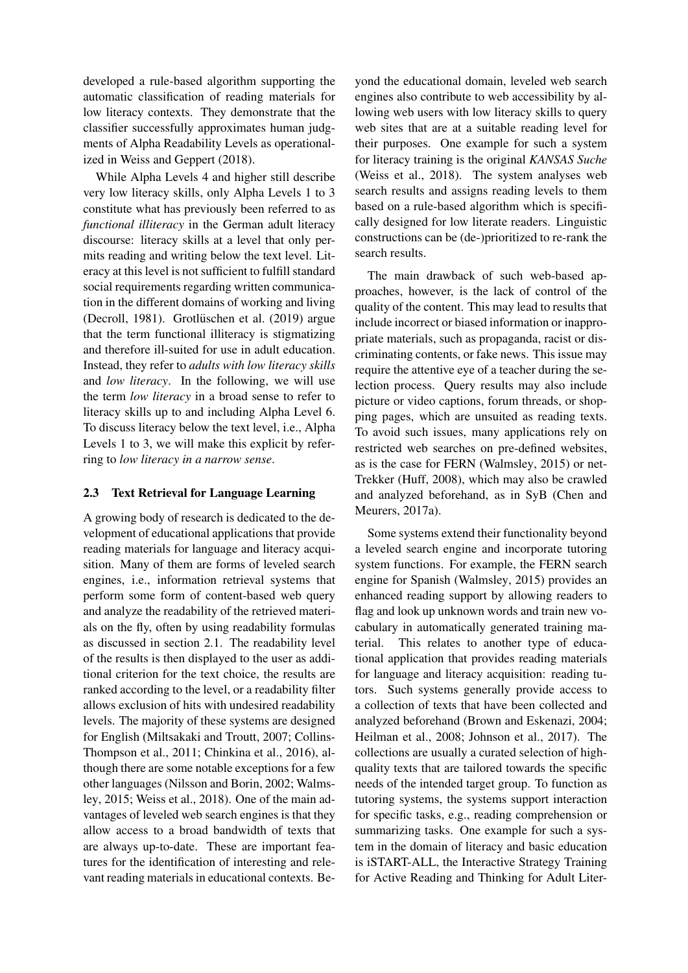developed a rule-based algorithm supporting the automatic classification of reading materials for low literacy contexts. They demonstrate that the classifier successfully approximates human judgments of Alpha Readability Levels as operationalized in [Weiss and Geppert](#page-15-16) [\(2018\)](#page-15-16).

While Alpha Levels 4 and higher still describe very low literacy skills, only Alpha Levels 1 to 3 constitute what has previously been referred to as *functional illiteracy* in the German adult literacy discourse: literacy skills at a level that only permits reading and writing below the text level. Literacy at this level is not sufficient to fulfill standard social requirements regarding written communication in the different domains of working and living [\(Decroll,](#page-13-14) [1981\)](#page-13-14). Grotlüschen et al.  $(2019)$  argue that the term functional illiteracy is stigmatizing and therefore ill-suited for use in adult education. Instead, they refer to *adults with low literacy skills* and *low literacy*. In the following, we will use the term *low literacy* in a broad sense to refer to literacy skills up to and including Alpha Level 6. To discuss literacy below the text level, i.e., Alpha Levels 1 to 3, we will make this explicit by referring to *low literacy in a narrow sense*.

## <span id="page-3-0"></span>2.3 Text Retrieval for Language Learning

A growing body of research is dedicated to the development of educational applications that provide reading materials for language and literacy acquisition. Many of them are forms of leveled search engines, i.e., information retrieval systems that perform some form of content-based web query and analyze the readability of the retrieved materials on the fly, often by using readability formulas as discussed in section [2.1.](#page-1-1) The readability level of the results is then displayed to the user as additional criterion for the text choice, the results are ranked according to the level, or a readability filter allows exclusion of hits with undesired readability levels. The majority of these systems are designed for English [\(Miltsakaki and Troutt,](#page-14-12) [2007;](#page-14-12) [Collins-](#page-13-1)[Thompson et al.,](#page-13-1) [2011;](#page-13-1) [Chinkina et al.,](#page-13-2) [2016\)](#page-13-2), although there are some notable exceptions for a few other languages [\(Nilsson and Borin,](#page-14-13) [2002;](#page-14-13) [Walms](#page-15-3)[ley,](#page-15-3) [2015;](#page-15-3) [Weiss et al.,](#page-15-2) [2018\)](#page-15-2). One of the main advantages of leveled web search engines is that they allow access to a broad bandwidth of texts that are always up-to-date. These are important features for the identification of interesting and relevant reading materials in educational contexts. Beyond the educational domain, leveled web search engines also contribute to web accessibility by allowing web users with low literacy skills to query web sites that are at a suitable reading level for their purposes. One example for such a system for literacy training is the original *KANSAS Suche* [\(Weiss et al.,](#page-15-2) [2018\)](#page-15-2). The system analyses web search results and assigns reading levels to them based on a rule-based algorithm which is specifically designed for low literate readers. Linguistic constructions can be (de-)prioritized to re-rank the search results.

The main drawback of such web-based approaches, however, is the lack of control of the quality of the content. This may lead to results that include incorrect or biased information or inappropriate materials, such as propaganda, racist or discriminating contents, or fake news. This issue may require the attentive eye of a teacher during the selection process. Query results may also include picture or video captions, forum threads, or shopping pages, which are unsuited as reading texts. To avoid such issues, many applications rely on restricted web searches on pre-defined websites, as is the case for FERN [\(Walmsley,](#page-15-3) [2015\)](#page-15-3) or net-Trekker [\(Huff,](#page-14-14) [2008\)](#page-14-14), which may also be crawled and analyzed beforehand, as in SyB [\(Chen and](#page-13-15) [Meurers,](#page-13-15) [2017a\)](#page-13-15).

Some systems extend their functionality beyond a leveled search engine and incorporate tutoring system functions. For example, the FERN search engine for Spanish [\(Walmsley,](#page-15-3) [2015\)](#page-15-3) provides an enhanced reading support by allowing readers to flag and look up unknown words and train new vocabulary in automatically generated training material. This relates to another type of educational application that provides reading materials for language and literacy acquisition: reading tutors. Such systems generally provide access to a collection of texts that have been collected and analyzed beforehand [\(Brown and Eskenazi,](#page-13-16) [2004;](#page-13-16) [Heilman et al.,](#page-14-15) [2008;](#page-14-15) [Johnson et al.,](#page-14-16) [2017\)](#page-14-16). The collections are usually a curated selection of highquality texts that are tailored towards the specific needs of the intended target group. To function as tutoring systems, the systems support interaction for specific tasks, e.g., reading comprehension or summarizing tasks. One example for such a system in the domain of literacy and basic education is iSTART-ALL, the Interactive Strategy Training for Active Reading and Thinking for Adult Liter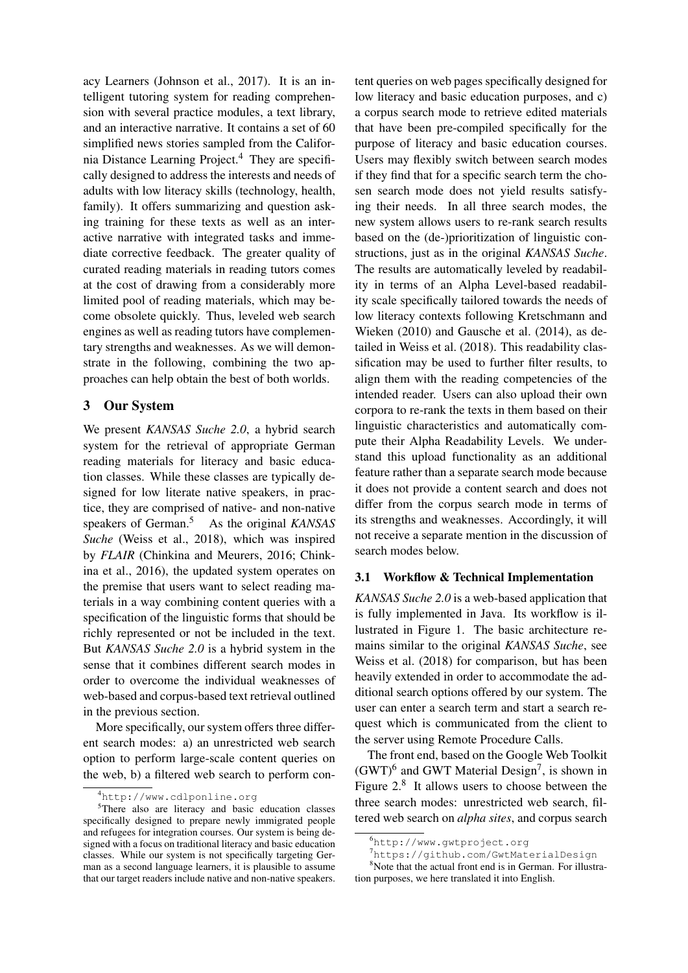acy Learners [\(Johnson et al.,](#page-14-16) [2017\)](#page-14-16). It is an intelligent tutoring system for reading comprehension with several practice modules, a text library, and an interactive narrative. It contains a set of 60 simplified news stories sampled from the California Distance Learning Project.[4](#page-4-1) They are specifically designed to address the interests and needs of adults with low literacy skills (technology, health, family). It offers summarizing and question asking training for these texts as well as an interactive narrative with integrated tasks and immediate corrective feedback. The greater quality of curated reading materials in reading tutors comes at the cost of drawing from a considerably more limited pool of reading materials, which may become obsolete quickly. Thus, leveled web search engines as well as reading tutors have complementary strengths and weaknesses. As we will demonstrate in the following, combining the two approaches can help obtain the best of both worlds.

## <span id="page-4-0"></span>3 Our System

We present *KANSAS Suche 2.0*, a hybrid search system for the retrieval of appropriate German reading materials for literacy and basic education classes. While these classes are typically designed for low literate native speakers, in practice, they are comprised of native- and non-native speakers of German.<sup>[5](#page-4-2)</sup> As the original *KANSAS Suche* [\(Weiss et al.,](#page-15-2) [2018\)](#page-15-2), which was inspired by *FLAIR* [\(Chinkina and Meurers,](#page-13-3) [2016;](#page-13-3) [Chink](#page-13-2)[ina et al.,](#page-13-2) [2016\)](#page-13-2), the updated system operates on the premise that users want to select reading materials in a way combining content queries with a specification of the linguistic forms that should be richly represented or not be included in the text. But *KANSAS Suche 2.0* is a hybrid system in the sense that it combines different search modes in order to overcome the individual weaknesses of web-based and corpus-based text retrieval outlined in the previous section.

More specifically, our system offers three different search modes: a) an unrestricted web search option to perform large-scale content queries on the web, b) a filtered web search to perform con-

tent queries on web pages specifically designed for low literacy and basic education purposes, and c) a corpus search mode to retrieve edited materials that have been pre-compiled specifically for the purpose of literacy and basic education courses. Users may flexibly switch between search modes if they find that for a specific search term the chosen search mode does not yield results satisfying their needs. In all three search modes, the new system allows users to re-rank search results based on the (de-)prioritization of linguistic constructions, just as in the original *KANSAS Suche*. The results are automatically leveled by readability in terms of an Alpha Level-based readability scale specifically tailored towards the needs of low literacy contexts following [Kretschmann and](#page-14-17) [Wieken](#page-14-17) [\(2010\)](#page-14-17) and [Gausche et al.](#page-14-18) [\(2014\)](#page-14-18), as detailed in [Weiss et al.](#page-15-2) [\(2018\)](#page-15-2). This readability classification may be used to further filter results, to align them with the reading competencies of the intended reader. Users can also upload their own corpora to re-rank the texts in them based on their linguistic characteristics and automatically compute their Alpha Readability Levels. We understand this upload functionality as an additional feature rather than a separate search mode because it does not provide a content search and does not differ from the corpus search mode in terms of its strengths and weaknesses. Accordingly, it will not receive a separate mention in the discussion of search modes below.

### 3.1 Workflow & Technical Implementation

*KANSAS Suche 2.0* is a web-based application that is fully implemented in Java. Its workflow is illustrated in Figure [1.](#page-5-0) The basic architecture remains similar to the original *KANSAS Suche*, see [Weiss et al.](#page-15-2) [\(2018\)](#page-15-2) for comparison, but has been heavily extended in order to accommodate the additional search options offered by our system. The user can enter a search term and start a search request which is communicated from the client to the server using Remote Procedure Calls.

The front end, based on the Google Web Toolkit  $(GWT)^6$  $(GWT)^6$  and GWT Material Design<sup>[7](#page-4-4)</sup>, is shown in Figure [2.](#page-6-0)<sup>[8](#page-4-5)</sup> It allows users to choose between the three search modes: unrestricted web search, filtered web search on *alpha sites*, and corpus search

<span id="page-4-2"></span><span id="page-4-1"></span><sup>4</sup><http://www.cdlponline.org>

<sup>5</sup>There also are literacy and basic education classes specifically designed to prepare newly immigrated people and refugees for integration courses. Our system is being designed with a focus on traditional literacy and basic education classes. While our system is not specifically targeting German as a second language learners, it is plausible to assume that our target readers include native and non-native speakers.

<span id="page-4-3"></span><sup>6</sup><http://www.gwtproject.org>

<span id="page-4-5"></span><span id="page-4-4"></span><sup>7</sup><https://github.com/GwtMaterialDesign>

<sup>&</sup>lt;sup>8</sup>Note that the actual front end is in German. For illustration purposes, we here translated it into English.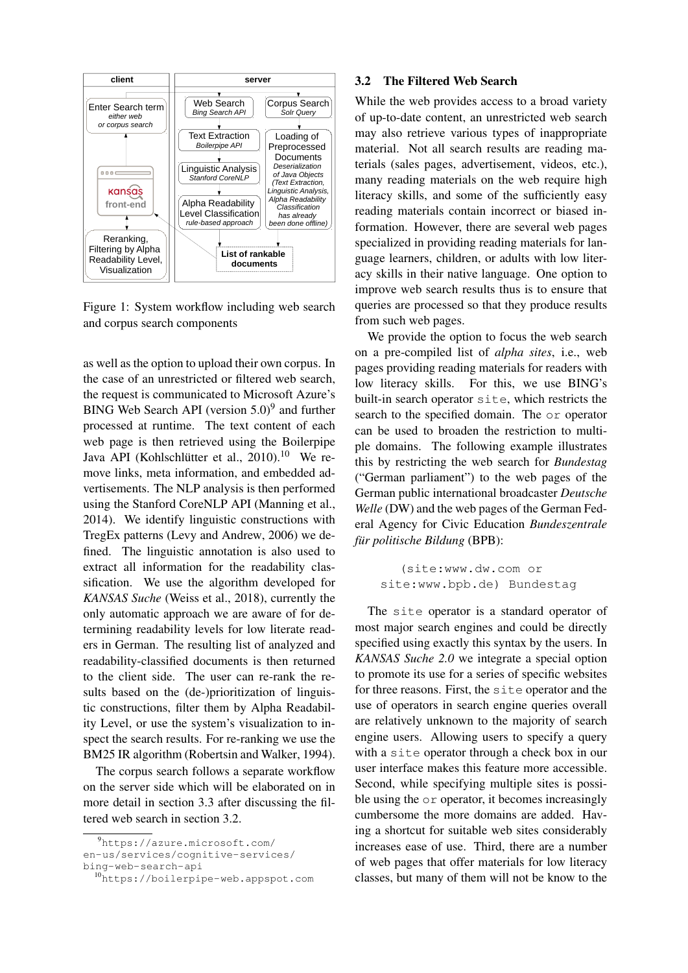

<span id="page-5-0"></span>Figure 1: System workflow including web search and corpus search components

as well as the option to upload their own corpus. In the case of an unrestricted or filtered web search, the request is communicated to Microsoft Azure's BING Web Search API (version  $5.0$ )<sup>[9](#page-5-1)</sup> and further processed at runtime. The text content of each web page is then retrieved using the Boilerpipe Java API (Kohlschlütter et al., [2010\)](#page-14-19).<sup>[10](#page-5-2)</sup> We remove links, meta information, and embedded advertisements. The NLP analysis is then performed using the Stanford CoreNLP API [\(Manning et al.,](#page-14-20) [2014\)](#page-14-20). We identify linguistic constructions with TregEx patterns [\(Levy and Andrew,](#page-14-21) [2006\)](#page-14-21) we defined. The linguistic annotation is also used to extract all information for the readability classification. We use the algorithm developed for *KANSAS Suche* [\(Weiss et al.,](#page-15-2) [2018\)](#page-15-2), currently the only automatic approach we are aware of for determining readability levels for low literate readers in German. The resulting list of analyzed and readability-classified documents is then returned to the client side. The user can re-rank the results based on the (de-)prioritization of linguistic constructions, filter them by Alpha Readability Level, or use the system's visualization to inspect the search results. For re-ranking we use the BM25 IR algorithm [\(Robertsin and Walker,](#page-15-17) [1994\)](#page-15-17).

The corpus search follows a separate workflow on the server side which will be elaborated on in more detail in section [3.3](#page-6-1) after discussing the filtered web search in section [3.2.](#page-5-3)

#### <span id="page-5-3"></span>3.2 The Filtered Web Search

While the web provides access to a broad variety of up-to-date content, an unrestricted web search may also retrieve various types of inappropriate material. Not all search results are reading materials (sales pages, advertisement, videos, etc.), many reading materials on the web require high literacy skills, and some of the sufficiently easy reading materials contain incorrect or biased information. However, there are several web pages specialized in providing reading materials for language learners, children, or adults with low literacy skills in their native language. One option to improve web search results thus is to ensure that queries are processed so that they produce results from such web pages.

We provide the option to focus the web search on a pre-compiled list of *alpha sites*, i.e., web pages providing reading materials for readers with low literacy skills. For this, we use BING's built-in search operator site, which restricts the search to the specified domain. The or operator can be used to broaden the restriction to multiple domains. The following example illustrates this by restricting the web search for *Bundestag* ("German parliament") to the web pages of the German public international broadcaster *Deutsche Welle* (DW) and the web pages of the German Federal Agency for Civic Education *Bundeszentrale für politische Bildung* (BPB):

> (site:www.dw.com or site:www.bpb.de) Bundestag

The site operator is a standard operator of most major search engines and could be directly specified using exactly this syntax by the users. In *KANSAS Suche 2.0* we integrate a special option to promote its use for a series of specific websites for three reasons. First, the site operator and the use of operators in search engine queries overall are relatively unknown to the majority of search engine users. Allowing users to specify a query with a site operator through a check box in our user interface makes this feature more accessible. Second, while specifying multiple sites is possible using the or operator, it becomes increasingly cumbersome the more domains are added. Having a shortcut for suitable web sites considerably increases ease of use. Third, there are a number of web pages that offer materials for low literacy classes, but many of them will not be know to the

<span id="page-5-1"></span><sup>9</sup>[https://azure.microsoft.com/](https://azure.microsoft.com/en-us/services/cognitive-services/bing-web-search-api) [en-us/services/cognitive-services/](https://azure.microsoft.com/en-us/services/cognitive-services/bing-web-search-api) [bing-web-search-api](https://azure.microsoft.com/en-us/services/cognitive-services/bing-web-search-api)

<span id="page-5-2"></span><sup>10</sup><https://boilerpipe-web.appspot.com>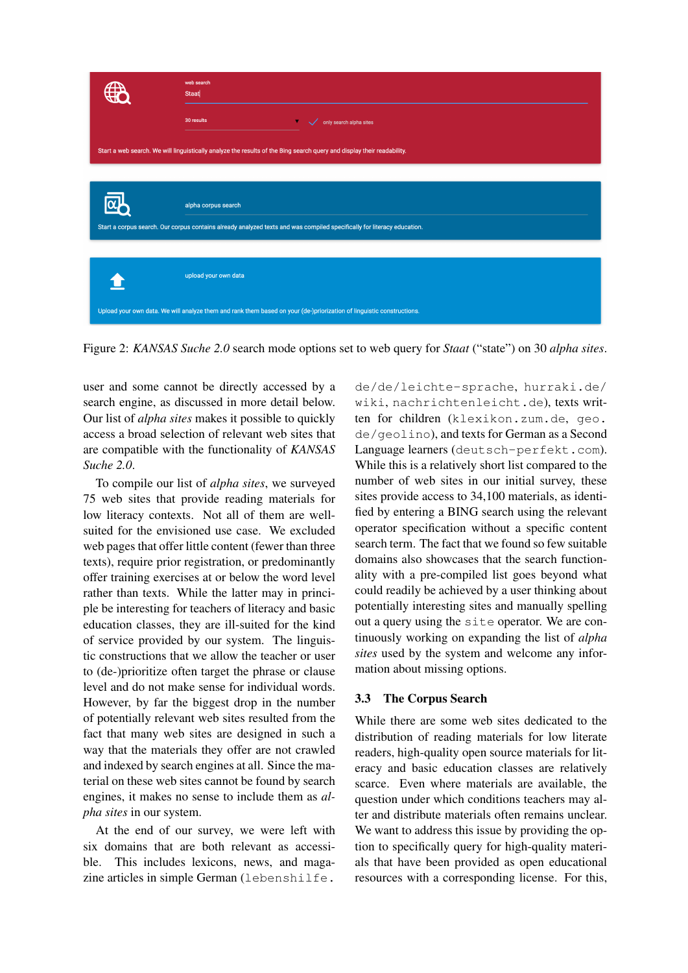

<span id="page-6-0"></span>Figure 2: *KANSAS Suche 2.0* search mode options set to web query for *Staat* ("state") on 30 *alpha sites*.

user and some cannot be directly accessed by a search engine, as discussed in more detail below. Our list of *alpha sites* makes it possible to quickly access a broad selection of relevant web sites that are compatible with the functionality of *KANSAS Suche 2.0*.

To compile our list of *alpha sites*, we surveyed 75 web sites that provide reading materials for low literacy contexts. Not all of them are wellsuited for the envisioned use case. We excluded web pages that offer little content (fewer than three texts), require prior registration, or predominantly offer training exercises at or below the word level rather than texts. While the latter may in principle be interesting for teachers of literacy and basic education classes, they are ill-suited for the kind of service provided by our system. The linguistic constructions that we allow the teacher or user to (de-)prioritize often target the phrase or clause level and do not make sense for individual words. However, by far the biggest drop in the number of potentially relevant web sites resulted from the fact that many web sites are designed in such a way that the materials they offer are not crawled and indexed by search engines at all. Since the material on these web sites cannot be found by search engines, it makes no sense to include them as *alpha sites* in our system.

At the end of our survey, we were left with six domains that are both relevant as accessible. This includes lexicons, news, and magazine articles in simple German ([lebenshilfe.](lebenshilfe.de/de/leichte-sprache)

[de/de/leichte-sprache](lebenshilfe.de/de/leichte-sprache), [hurraki.de/](hurraki.de/wiki) [wiki](hurraki.de/wiki), <nachrichtenleicht.de>), texts written for children (<klexikon.zum.de>, [geo.](geo.de/geolino) [de/geolino](geo.de/geolino)), and texts for German as a Second Language learners (<deutsch-perfekt.com>). While this is a relatively short list compared to the number of web sites in our initial survey, these sites provide access to 34,100 materials, as identified by entering a BING search using the relevant operator specification without a specific content search term. The fact that we found so few suitable domains also showcases that the search functionality with a pre-compiled list goes beyond what could readily be achieved by a user thinking about potentially interesting sites and manually spelling out a query using the site operator. We are continuously working on expanding the list of *alpha sites* used by the system and welcome any information about missing options.

# <span id="page-6-1"></span>3.3 The Corpus Search

While there are some web sites dedicated to the distribution of reading materials for low literate readers, high-quality open source materials for literacy and basic education classes are relatively scarce. Even where materials are available, the question under which conditions teachers may alter and distribute materials often remains unclear. We want to address this issue by providing the option to specifically query for high-quality materials that have been provided as open educational resources with a corresponding license. For this,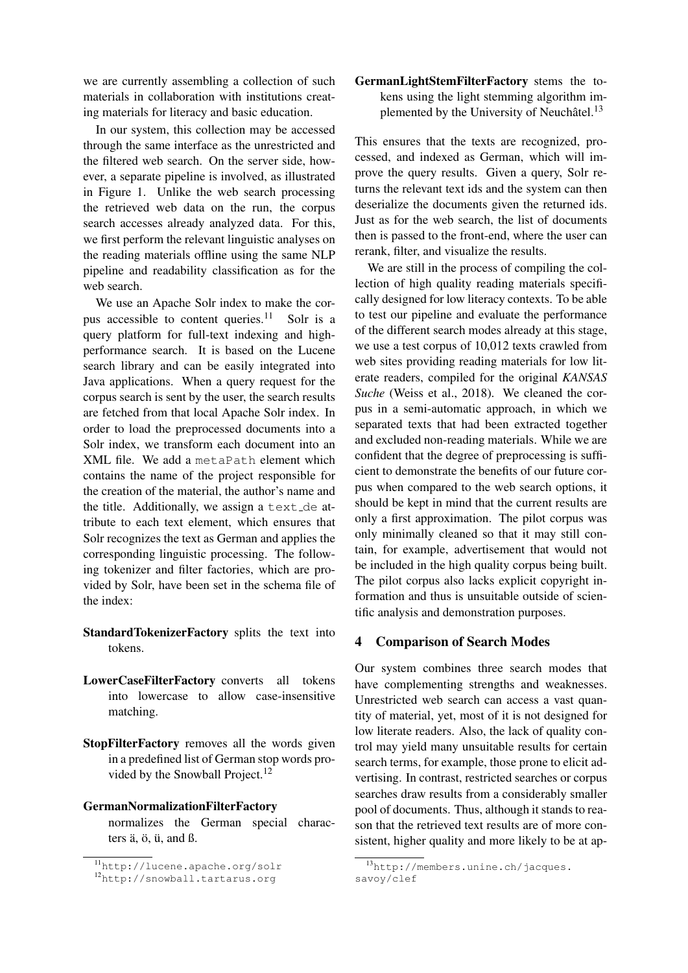we are currently assembling a collection of such materials in collaboration with institutions creating materials for literacy and basic education.

In our system, this collection may be accessed through the same interface as the unrestricted and the filtered web search. On the server side, however, a separate pipeline is involved, as illustrated in Figure [1.](#page-5-0) Unlike the web search processing the retrieved web data on the run, the corpus search accesses already analyzed data. For this, we first perform the relevant linguistic analyses on the reading materials offline using the same NLP pipeline and readability classification as for the web search.

We use an Apache Solr index to make the corpus accessible to content queries. $11$  Solr is a query platform for full-text indexing and highperformance search. It is based on the Lucene search library and can be easily integrated into Java applications. When a query request for the corpus search is sent by the user, the search results are fetched from that local Apache Solr index. In order to load the preprocessed documents into a Solr index, we transform each document into an XML file. We add a metaPath element which contains the name of the project responsible for the creation of the material, the author's name and the title. Additionally, we assign a text de attribute to each text element, which ensures that Solr recognizes the text as German and applies the corresponding linguistic processing. The following tokenizer and filter factories, which are provided by Solr, have been set in the schema file of the index:

- StandardTokenizerFactory splits the text into tokens.
- LowerCaseFilterFactory converts all tokens into lowercase to allow case-insensitive matching.
- StopFilterFactory removes all the words given in a predefined list of German stop words provided by the Snowball Project. $^{12}$  $^{12}$  $^{12}$

### GermanNormalizationFilterFactory

normalizes the German special characters  $\ddot{a}$ ,  $\ddot{o}$ ,  $\ddot{u}$ , and  $\ddot{b}$ .

# GermanLightStemFilterFactory stems the tokens using the light stemming algorithm im-plemented by the University of Neuchâtel.<sup>[13](#page-7-3)</sup>

This ensures that the texts are recognized, processed, and indexed as German, which will improve the query results. Given a query, Solr returns the relevant text ids and the system can then deserialize the documents given the returned ids. Just as for the web search, the list of documents then is passed to the front-end, where the user can rerank, filter, and visualize the results.

We are still in the process of compiling the collection of high quality reading materials specifically designed for low literacy contexts. To be able to test our pipeline and evaluate the performance of the different search modes already at this stage, we use a test corpus of 10,012 texts crawled from web sites providing reading materials for low literate readers, compiled for the original *KANSAS Suche* [\(Weiss et al.,](#page-15-2) [2018\)](#page-15-2). We cleaned the corpus in a semi-automatic approach, in which we separated texts that had been extracted together and excluded non-reading materials. While we are confident that the degree of preprocessing is sufficient to demonstrate the benefits of our future corpus when compared to the web search options, it should be kept in mind that the current results are only a first approximation. The pilot corpus was only minimally cleaned so that it may still contain, for example, advertisement that would not be included in the high quality corpus being built. The pilot corpus also lacks explicit copyright information and thus is unsuitable outside of scientific analysis and demonstration purposes.

### <span id="page-7-0"></span>4 Comparison of Search Modes

Our system combines three search modes that have complementing strengths and weaknesses. Unrestricted web search can access a vast quantity of material, yet, most of it is not designed for low literate readers. Also, the lack of quality control may yield many unsuitable results for certain search terms, for example, those prone to elicit advertising. In contrast, restricted searches or corpus searches draw results from a considerably smaller pool of documents. Thus, although it stands to reason that the retrieved text results are of more consistent, higher quality and more likely to be at ap-

<span id="page-7-1"></span><sup>11</sup><http://lucene.apache.org/solr>

<span id="page-7-2"></span><sup>12</sup><http://snowball.tartarus.org>

<span id="page-7-3"></span><sup>13</sup>[http://members.unine.ch/jacques.](http://members.unine.ch/jacques.savoy/clef) [savoy/clef](http://members.unine.ch/jacques.savoy/clef)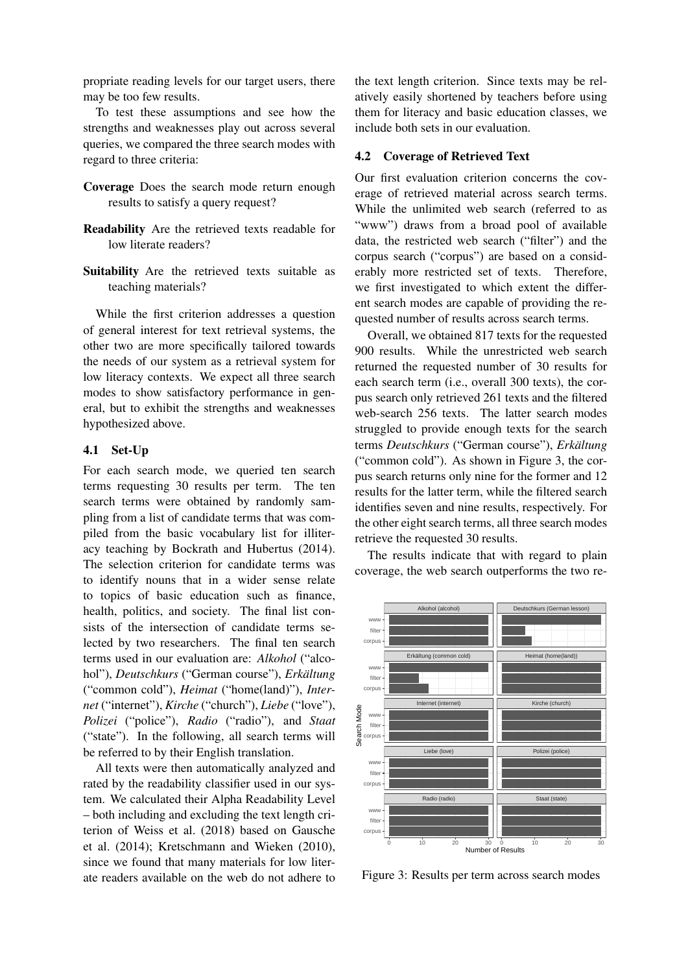propriate reading levels for our target users, there may be too few results.

To test these assumptions and see how the strengths and weaknesses play out across several queries, we compared the three search modes with regard to three criteria:

- Coverage Does the search mode return enough results to satisfy a query request?
- Readability Are the retrieved texts readable for low literate readers?
- Suitability Are the retrieved texts suitable as teaching materials?

While the first criterion addresses a question of general interest for text retrieval systems, the other two are more specifically tailored towards the needs of our system as a retrieval system for low literacy contexts. We expect all three search modes to show satisfactory performance in general, but to exhibit the strengths and weaknesses hypothesized above.

### 4.1 Set-Up

For each search mode, we queried ten search terms requesting 30 results per term. The ten search terms were obtained by randomly sampling from a list of candidate terms that was compiled from the basic vocabulary list for illiteracy teaching by [Bockrath and Hubertus](#page-13-17) [\(2014\)](#page-13-17). The selection criterion for candidate terms was to identify nouns that in a wider sense relate to topics of basic education such as finance, health, politics, and society. The final list consists of the intersection of candidate terms selected by two researchers. The final ten search terms used in our evaluation are: *Alkohol* ("alcohol"), *Deutschkurs* ("German course"), *Erkältung* ("common cold"), *Heimat* ("home(land)"), *Internet* ("internet"), *Kirche* ("church"), *Liebe* ("love"), *Polizei* ("police"), *Radio* ("radio"), and *Staat* ("state"). In the following, all search terms will be referred to by their English translation.

All texts were then automatically analyzed and rated by the readability classifier used in our system. We calculated their Alpha Readability Level – both including and excluding the text length criterion of [Weiss et al.](#page-15-2) [\(2018\)](#page-15-2) based on [Gausche](#page-14-18) [et al.](#page-14-18) [\(2014\)](#page-14-18); [Kretschmann and Wieken](#page-14-17) [\(2010\)](#page-14-17), since we found that many materials for low literate readers available on the web do not adhere to

the text length criterion. Since texts may be relatively easily shortened by teachers before using them for literacy and basic education classes, we include both sets in our evaluation.

#### 4.2 Coverage of Retrieved Text

Our first evaluation criterion concerns the coverage of retrieved material across search terms. While the unlimited web search (referred to as "www") draws from a broad pool of available data, the restricted web search ("filter") and the corpus search ("corpus") are based on a considerably more restricted set of texts. Therefore, we first investigated to which extent the different search modes are capable of providing the requested number of results across search terms.

Overall, we obtained 817 texts for the requested 900 results. While the unrestricted web search returned the requested number of 30 results for each search term (i.e., overall 300 texts), the corpus search only retrieved 261 texts and the filtered web-search 256 texts. The latter search modes struggled to provide enough texts for the search terms *Deutschkurs* ("German course"), *Erkältung* ("common cold"). As shown in Figure [3,](#page-8-0) the corpus search returns only nine for the former and 12 results for the latter term, while the filtered search identifies seven and nine results, respectively. For the other eight search terms, all three search modes retrieve the requested 30 results.

The results indicate that with regard to plain coverage, the web search outperforms the two re-



<span id="page-8-0"></span>Figure 3: Results per term across search modes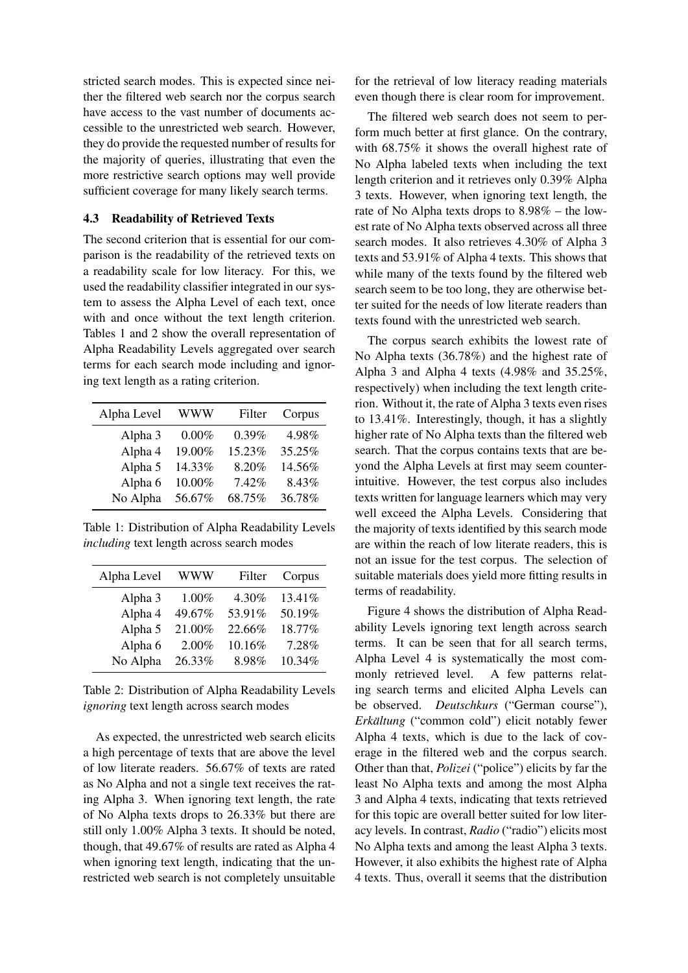stricted search modes. This is expected since neither the filtered web search nor the corpus search have access to the vast number of documents accessible to the unrestricted web search. However, they do provide the requested number of results for the majority of queries, illustrating that even the more restrictive search options may well provide sufficient coverage for many likely search terms.

### 4.3 Readability of Retrieved Texts

The second criterion that is essential for our comparison is the readability of the retrieved texts on a readability scale for low literacy. For this, we used the readability classifier integrated in our system to assess the Alpha Level of each text, once with and once without the text length criterion. Tables [1](#page-9-0) and [2](#page-9-1) show the overall representation of Alpha Readability Levels aggregated over search terms for each search mode including and ignoring text length as a rating criterion.

| Alpha Level | WWW    | Filter | Corpus |
|-------------|--------|--------|--------|
| Alpha 3     | 0.00%  | 0.39%  | 4.98%  |
| Alpha 4     | 19.00% | 15.23% | 35.25% |
| Alpha 5     | 14.33% | 8.20%  | 14.56% |
| Alpha 6     | 10.00% | 7.42%  | 8.43%  |
| No Alpha    | 56.67% | 68.75% | 36.78% |

<span id="page-9-0"></span>Table 1: Distribution of Alpha Readability Levels *including* text length across search modes

| Alpha Level | WWW    | Filter | Corpus |
|-------------|--------|--------|--------|
| Alpha 3     | 1.00%  | 4.30%  | 13.41% |
| Alpha 4     | 49.67% | 53.91% | 50.19% |
| Alpha 5     | 21.00% | 22.66% | 18.77% |
| Alpha 6     | 2.00%  | 10.16% | 7.28%  |
| No Alpha    | 26.33% | 8.98%  | 10.34% |

<span id="page-9-1"></span>Table 2: Distribution of Alpha Readability Levels *ignoring* text length across search modes

As expected, the unrestricted web search elicits a high percentage of texts that are above the level of low literate readers. 56.67% of texts are rated as No Alpha and not a single text receives the rating Alpha 3. When ignoring text length, the rate of No Alpha texts drops to 26.33% but there are still only 1.00% Alpha 3 texts. It should be noted, though, that 49.67% of results are rated as Alpha 4 when ignoring text length, indicating that the unrestricted web search is not completely unsuitable

for the retrieval of low literacy reading materials even though there is clear room for improvement.

The filtered web search does not seem to perform much better at first glance. On the contrary, with 68.75% it shows the overall highest rate of No Alpha labeled texts when including the text length criterion and it retrieves only 0.39% Alpha 3 texts. However, when ignoring text length, the rate of No Alpha texts drops to 8.98% – the lowest rate of No Alpha texts observed across all three search modes. It also retrieves 4.30% of Alpha 3 texts and 53.91% of Alpha 4 texts. This shows that while many of the texts found by the filtered web search seem to be too long, they are otherwise better suited for the needs of low literate readers than texts found with the unrestricted web search.

The corpus search exhibits the lowest rate of No Alpha texts (36.78%) and the highest rate of Alpha 3 and Alpha 4 texts (4.98% and 35.25%, respectively) when including the text length criterion. Without it, the rate of Alpha 3 texts even rises to 13.41%. Interestingly, though, it has a slightly higher rate of No Alpha texts than the filtered web search. That the corpus contains texts that are beyond the Alpha Levels at first may seem counterintuitive. However, the test corpus also includes texts written for language learners which may very well exceed the Alpha Levels. Considering that the majority of texts identified by this search mode are within the reach of low literate readers, this is not an issue for the test corpus. The selection of suitable materials does yield more fitting results in terms of readability.

Figure [4](#page-10-0) shows the distribution of Alpha Readability Levels ignoring text length across search terms. It can be seen that for all search terms, Alpha Level 4 is systematically the most commonly retrieved level. A few patterns relating search terms and elicited Alpha Levels can be observed. *Deutschkurs* ("German course"), *Erkältung* ("common cold") elicit notably fewer Alpha 4 texts, which is due to the lack of coverage in the filtered web and the corpus search. Other than that, *Polizei* ("police") elicits by far the least No Alpha texts and among the most Alpha 3 and Alpha 4 texts, indicating that texts retrieved for this topic are overall better suited for low literacy levels. In contrast, *Radio* ("radio") elicits most No Alpha texts and among the least Alpha 3 texts. However, it also exhibits the highest rate of Alpha 4 texts. Thus, overall it seems that the distribution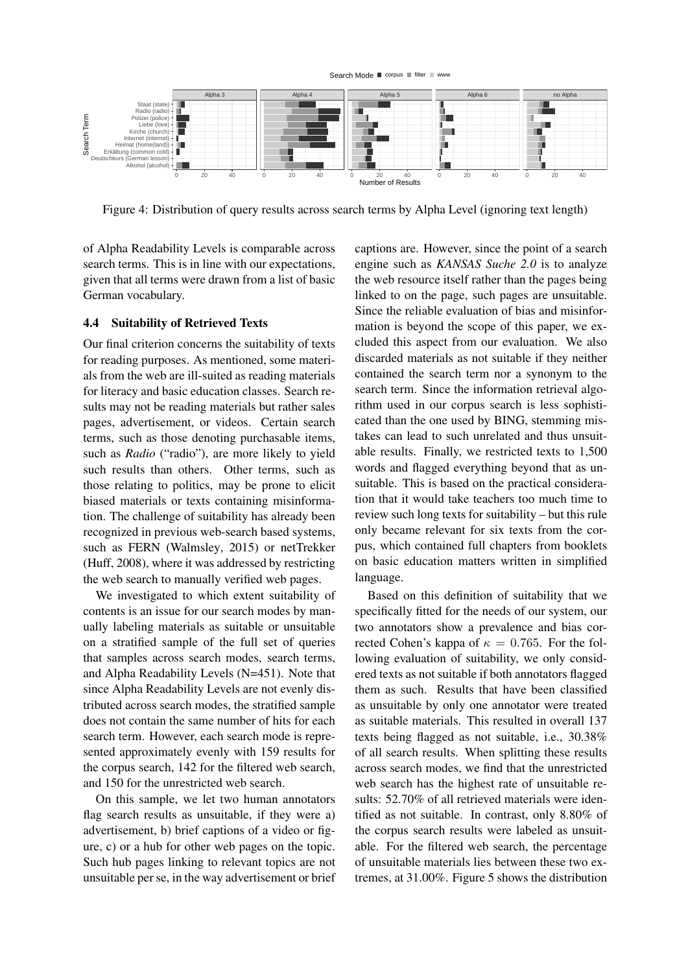

<span id="page-10-0"></span>Figure 4: Distribution of query results across search terms by Alpha Level (ignoring text length)

of Alpha Readability Levels is comparable across search terms. This is in line with our expectations, given that all terms were drawn from a list of basic German vocabulary.

### 4.4 Suitability of Retrieved Texts

Our final criterion concerns the suitability of texts for reading purposes. As mentioned, some materials from the web are ill-suited as reading materials for literacy and basic education classes. Search results may not be reading materials but rather sales pages, advertisement, or videos. Certain search terms, such as those denoting purchasable items, such as *Radio* ("radio"), are more likely to yield such results than others. Other terms, such as those relating to politics, may be prone to elicit biased materials or texts containing misinformation. The challenge of suitability has already been recognized in previous web-search based systems, such as FERN [\(Walmsley,](#page-15-3) [2015\)](#page-15-3) or netTrekker [\(Huff,](#page-14-14) [2008\)](#page-14-14), where it was addressed by restricting the web search to manually verified web pages.

We investigated to which extent suitability of contents is an issue for our search modes by manually labeling materials as suitable or unsuitable on a stratified sample of the full set of queries that samples across search modes, search terms, and Alpha Readability Levels (N=451). Note that since Alpha Readability Levels are not evenly distributed across search modes, the stratified sample does not contain the same number of hits for each search term. However, each search mode is represented approximately evenly with 159 results for the corpus search, 142 for the filtered web search, and 150 for the unrestricted web search.

On this sample, we let two human annotators flag search results as unsuitable, if they were a) advertisement, b) brief captions of a video or figure, c) or a hub for other web pages on the topic. Such hub pages linking to relevant topics are not unsuitable per se, in the way advertisement or brief captions are. However, since the point of a search engine such as *KANSAS Suche 2.0* is to analyze the web resource itself rather than the pages being linked to on the page, such pages are unsuitable. Since the reliable evaluation of bias and misinformation is beyond the scope of this paper, we excluded this aspect from our evaluation. We also discarded materials as not suitable if they neither contained the search term nor a synonym to the search term. Since the information retrieval algorithm used in our corpus search is less sophisticated than the one used by BING, stemming mistakes can lead to such unrelated and thus unsuitable results. Finally, we restricted texts to 1,500 words and flagged everything beyond that as unsuitable. This is based on the practical consideration that it would take teachers too much time to review such long texts for suitability – but this rule only became relevant for six texts from the corpus, which contained full chapters from booklets on basic education matters written in simplified language.

Based on this definition of suitability that we specifically fitted for the needs of our system, our two annotators show a prevalence and bias corrected Cohen's kappa of  $\kappa = 0.765$ . For the following evaluation of suitability, we only considered texts as not suitable if both annotators flagged them as such. Results that have been classified as unsuitable by only one annotator were treated as suitable materials. This resulted in overall 137 texts being flagged as not suitable, i.e., 30.38% of all search results. When splitting these results across search modes, we find that the unrestricted web search has the highest rate of unsuitable results: 52.70% of all retrieved materials were identified as not suitable. In contrast, only 8.80% of the corpus search results were labeled as unsuitable. For the filtered web search, the percentage of unsuitable materials lies between these two extremes, at 31.00%. Figure [5](#page-11-0) shows the distribution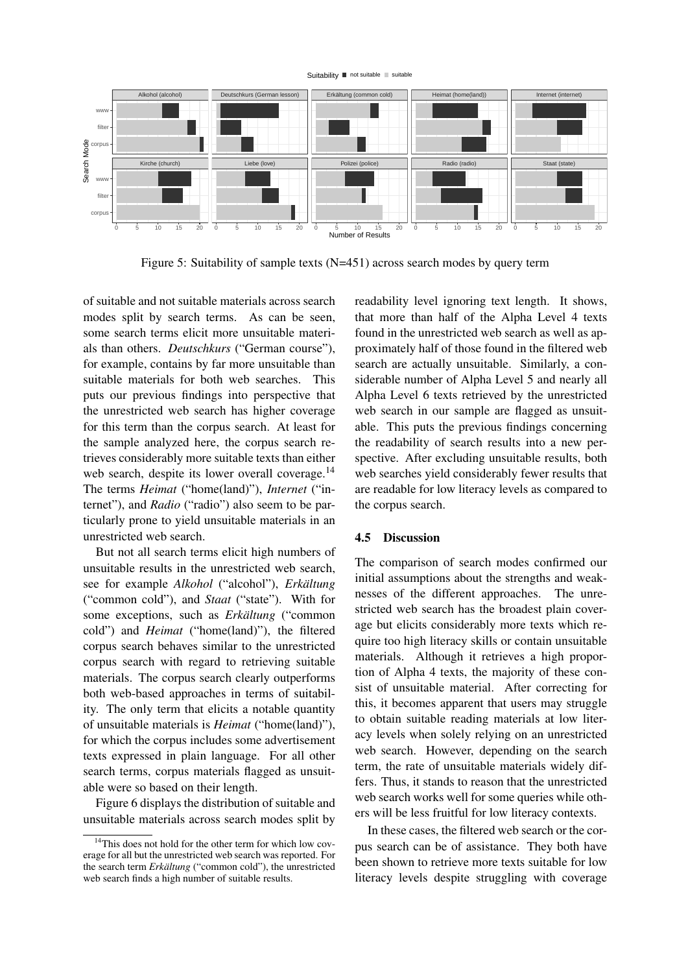

<span id="page-11-0"></span>Figure 5: Suitability of sample texts (N=451) across search modes by query term

of suitable and not suitable materials across search modes split by search terms. As can be seen, some search terms elicit more unsuitable materials than others. *Deutschkurs* ("German course"), for example, contains by far more unsuitable than suitable materials for both web searches. This puts our previous findings into perspective that the unrestricted web search has higher coverage for this term than the corpus search. At least for the sample analyzed here, the corpus search retrieves considerably more suitable texts than either web search, despite its lower overall coverage.<sup>[14](#page-11-1)</sup> The terms *Heimat* ("home(land)"), *Internet* ("internet"), and *Radio* ("radio") also seem to be particularly prone to yield unsuitable materials in an unrestricted web search.

But not all search terms elicit high numbers of unsuitable results in the unrestricted web search, see for example *Alkohol* ("alcohol"), *Erkältung* ("common cold"), and *Staat* ("state"). With for some exceptions, such as *Erkältung* ("common" cold") and *Heimat* ("home(land)"), the filtered corpus search behaves similar to the unrestricted corpus search with regard to retrieving suitable materials. The corpus search clearly outperforms both web-based approaches in terms of suitability. The only term that elicits a notable quantity of unsuitable materials is *Heimat* ("home(land)"), for which the corpus includes some advertisement texts expressed in plain language. For all other search terms, corpus materials flagged as unsuitable were so based on their length.

Figure [6](#page-12-3) displays the distribution of suitable and unsuitable materials across search modes split by readability level ignoring text length. It shows, that more than half of the Alpha Level 4 texts found in the unrestricted web search as well as approximately half of those found in the filtered web search are actually unsuitable. Similarly, a considerable number of Alpha Level 5 and nearly all Alpha Level 6 texts retrieved by the unrestricted web search in our sample are flagged as unsuitable. This puts the previous findings concerning the readability of search results into a new perspective. After excluding unsuitable results, both web searches yield considerably fewer results that are readable for low literacy levels as compared to the corpus search.

### 4.5 Discussion

The comparison of search modes confirmed our initial assumptions about the strengths and weaknesses of the different approaches. The unrestricted web search has the broadest plain coverage but elicits considerably more texts which require too high literacy skills or contain unsuitable materials. Although it retrieves a high proportion of Alpha 4 texts, the majority of these consist of unsuitable material. After correcting for this, it becomes apparent that users may struggle to obtain suitable reading materials at low literacy levels when solely relying on an unrestricted web search. However, depending on the search term, the rate of unsuitable materials widely differs. Thus, it stands to reason that the unrestricted web search works well for some queries while others will be less fruitful for low literacy contexts.

In these cases, the filtered web search or the corpus search can be of assistance. They both have been shown to retrieve more texts suitable for low literacy levels despite struggling with coverage

<span id="page-11-1"></span><sup>&</sup>lt;sup>14</sup>This does not hold for the other term for which low coverage for all but the unrestricted web search was reported. For the search term *Erkältung* ("common cold"), the unrestricted web search finds a high number of suitable results.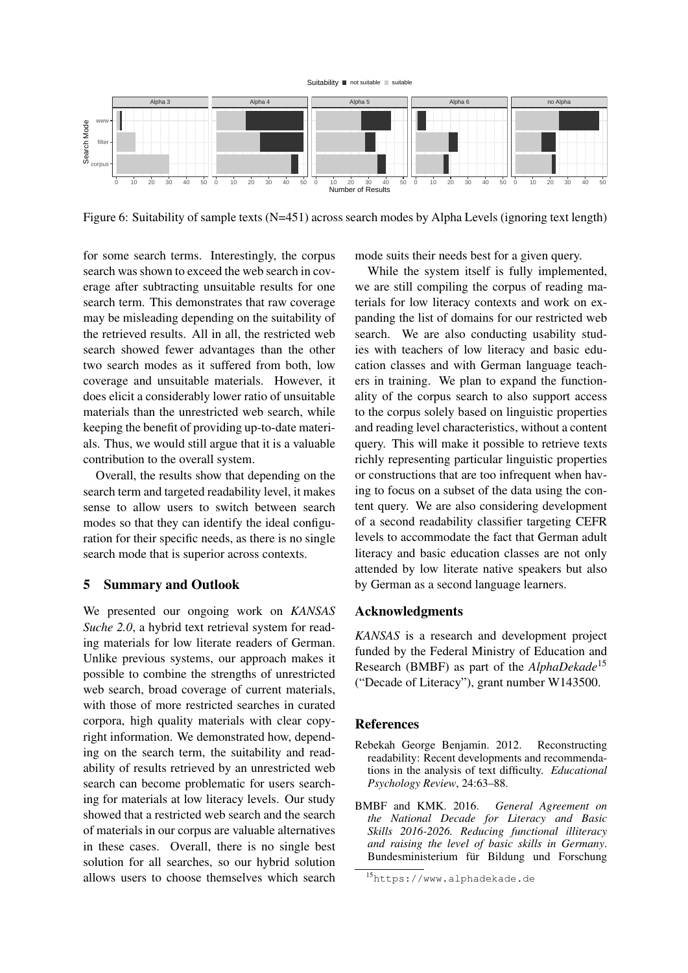



<span id="page-12-3"></span>Figure 6: Suitability of sample texts (N=451) across search modes by Alpha Levels (ignoring text length)

for some search terms. Interestingly, the corpus search was shown to exceed the web search in coverage after subtracting unsuitable results for one search term. This demonstrates that raw coverage may be misleading depending on the suitability of the retrieved results. All in all, the restricted web search showed fewer advantages than the other two search modes as it suffered from both, low coverage and unsuitable materials. However, it does elicit a considerably lower ratio of unsuitable materials than the unrestricted web search, while keeping the benefit of providing up-to-date materials. Thus, we would still argue that it is a valuable contribution to the overall system.

Overall, the results show that depending on the search term and targeted readability level, it makes sense to allow users to switch between search modes so that they can identify the ideal configuration for their specific needs, as there is no single search mode that is superior across contexts.

### <span id="page-12-1"></span>5 Summary and Outlook

We presented our ongoing work on *KANSAS Suche 2.0*, a hybrid text retrieval system for reading materials for low literate readers of German. Unlike previous systems, our approach makes it possible to combine the strengths of unrestricted web search, broad coverage of current materials, with those of more restricted searches in curated corpora, high quality materials with clear copyright information. We demonstrated how, depending on the search term, the suitability and readability of results retrieved by an unrestricted web search can become problematic for users searching for materials at low literacy levels. Our study showed that a restricted web search and the search of materials in our corpus are valuable alternatives in these cases. Overall, there is no single best solution for all searches, so our hybrid solution allows users to choose themselves which search mode suits their needs best for a given query.

While the system itself is fully implemented, we are still compiling the corpus of reading materials for low literacy contexts and work on expanding the list of domains for our restricted web search. We are also conducting usability studies with teachers of low literacy and basic education classes and with German language teachers in training. We plan to expand the functionality of the corpus search to also support access to the corpus solely based on linguistic properties and reading level characteristics, without a content query. This will make it possible to retrieve texts richly representing particular linguistic properties or constructions that are too infrequent when having to focus on a subset of the data using the content query. We are also considering development of a second readability classifier targeting CEFR levels to accommodate the fact that German adult literacy and basic education classes are not only attended by low literate native speakers but also by German as a second language learners.

### Acknowledgments

*KANSAS* is a research and development project funded by the Federal Ministry of Education and Research (BMBF) as part of the *AlphaDekade*[15](#page-12-4) ("Decade of Literacy"), grant number W143500.

### **References**

- <span id="page-12-2"></span>Rebekah George Benjamin. 2012. Reconstructing readability: Recent developments and recommendations in the analysis of text difficulty. *Educational Psychology Review*, 24:63–88.
- <span id="page-12-0"></span>BMBF and KMK. 2016. *General Agreement on the National Decade for Literacy and Basic Skills 2016-2026. Reducing functional illiteracy and raising the level of basic skills in Germany*. Bundesministerium für Bildung und Forschung

<span id="page-12-4"></span><sup>15</sup><https://www.alphadekade.de>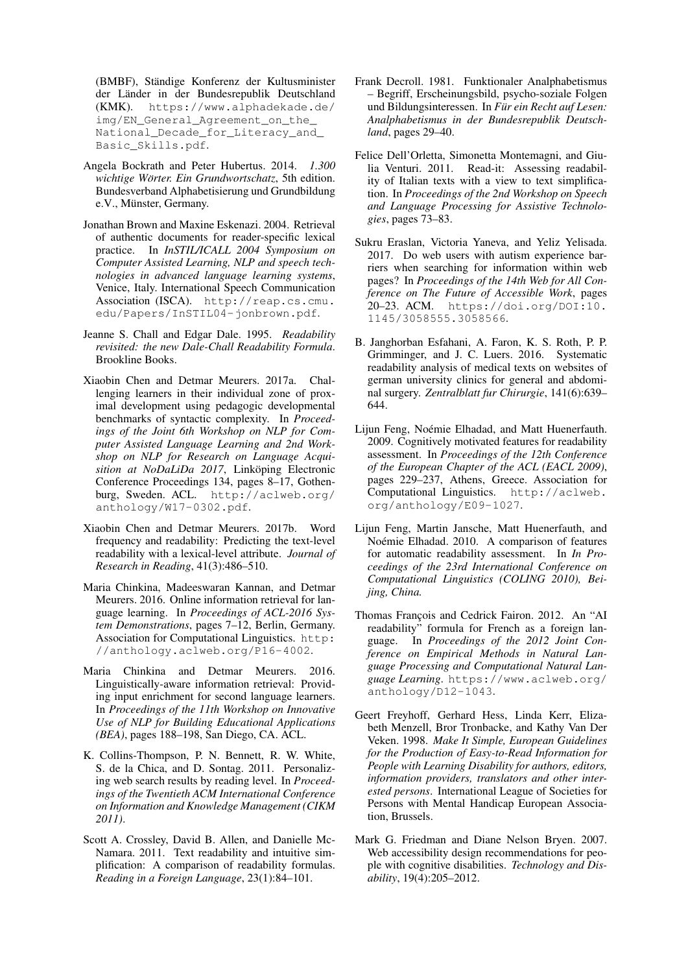(BMBF), Ständige Konferenz der Kultusminister der Länder in der Bundesrepublik Deutschland (KMK). [https://www.alphadekade.de/](https://www.alphadekade.de/img/EN_General_Agreement_on_the_National_Decade_for_Literacy_and_Basic_Skills.pdf) [img/EN\\_General\\_Agreement\\_on\\_the\\_](https://www.alphadekade.de/img/EN_General_Agreement_on_the_National_Decade_for_Literacy_and_Basic_Skills.pdf) [National\\_Decade\\_for\\_Literacy\\_and\\_](https://www.alphadekade.de/img/EN_General_Agreement_on_the_National_Decade_for_Literacy_and_Basic_Skills.pdf) [Basic\\_Skills.pdf](https://www.alphadekade.de/img/EN_General_Agreement_on_the_National_Decade_for_Literacy_and_Basic_Skills.pdf).

- <span id="page-13-17"></span>Angela Bockrath and Peter Hubertus. 2014. *1.300 wichtige Wörter. Ein Grundwortschatz*, 5th edition. Bundesverband Alphabetisierung und Grundbildung e.V., Münster, Germany.
- <span id="page-13-16"></span>Jonathan Brown and Maxine Eskenazi. 2004. Retrieval of authentic documents for reader-specific lexical practice. In *InSTIL/ICALL 2004 Symposium on Computer Assisted Learning, NLP and speech technologies in advanced language learning systems*, Venice, Italy. International Speech Communication Association (ISCA). [http://reap.cs.cmu.](http://reap.cs.cmu.edu/Papers/InSTIL04-jonbrown.pdf) [edu/Papers/InSTIL04-jonbrown.pdf](http://reap.cs.cmu.edu/Papers/InSTIL04-jonbrown.pdf).
- <span id="page-13-4"></span>Jeanne S. Chall and Edgar Dale. 1995. *Readability revisited: the new Dale-Chall Readability Formula*. Brookline Books.
- <span id="page-13-15"></span>Xiaobin Chen and Detmar Meurers. 2017a. Challenging learners in their individual zone of proximal development using pedagogic developmental benchmarks of syntactic complexity. In *Proceedings of the Joint 6th Workshop on NLP for Computer Assisted Language Learning and 2nd Workshop on NLP for Research on Language Acquisition at NoDaLiDa 2017*, Linköping Electronic Conference Proceedings 134, pages 8–17, Gothenburg, Sweden. ACL. [http://aclweb.org/](http://aclweb.org/anthology/W17-0302.pdf) [anthology/W17-0302.pdf](http://aclweb.org/anthology/W17-0302.pdf).
- <span id="page-13-9"></span>Xiaobin Chen and Detmar Meurers. 2017b. Word frequency and readability: Predicting the text-level readability with a lexical-level attribute. *Journal of Research in Reading*, 41(3):486–510.
- <span id="page-13-2"></span>Maria Chinkina, Madeeswaran Kannan, and Detmar Meurers. 2016. Online information retrieval for language learning. In *Proceedings of ACL-2016 System Demonstrations*, pages 7–12, Berlin, Germany. Association for Computational Linguistics. [http:](http://anthology.aclweb.org/P16-4002) [//anthology.aclweb.org/P16-4002](http://anthology.aclweb.org/P16-4002).
- <span id="page-13-3"></span>Maria Chinkina and Detmar Meurers. 2016. [Linguistically-aware information retrieval: Provid](http://aclweb.org/anthology/W16-0521.pdf)[ing input enrichment for second language learners.](http://aclweb.org/anthology/W16-0521.pdf) In *Proceedings of the 11th Workshop on Innovative Use of NLP for Building Educational Applications (BEA)*, pages 188–198, San Diego, CA. ACL.
- <span id="page-13-1"></span>K. Collins-Thompson, P. N. Bennett, R. W. White, S. de la Chica, and D. Sontag. 2011. Personalizing web search results by reading level. In *Proceedings of the Twentieth ACM International Conference on Information and Knowledge Management (CIKM 2011)*.
- <span id="page-13-8"></span>Scott A. Crossley, David B. Allen, and Danielle Mc-Namara. 2011. Text readability and intuitive simplification: A comparison of readability formulas. *Reading in a Foreign Language*, 23(1):84–101.
- <span id="page-13-14"></span>Frank Decroll. 1981. Funktionaler Analphabetismus – Begriff, Erscheinungsbild, psycho-soziale Folgen und Bildungsinteressen. In *Für ein Recht auf Lesen: Analphabetismus in der Bundesrepublik Deutschland*, pages 29–40.
- <span id="page-13-11"></span>Felice Dell'Orletta, Simonetta Montemagni, and Giulia Venturi. 2011. Read-it: Assessing readability of Italian texts with a view to text simplification. In *Proceedings of the 2nd Workshop on Speech and Language Processing for Assistive Technologies*, pages 73–83.
- <span id="page-13-12"></span>Sukru Eraslan, Victoria Yaneva, and Yeliz Yelisada. 2017. Do web users with autism experience barriers when searching for information within web pages? In *Proceedings of the 14th Web for All Conference on The Future of Accessible Work*, pages 20–23. ACM. [https://doi.org/DOI:10.](https://doi.org/DOI:10.1145/3058555.3058566) [1145/3058555.3058566](https://doi.org/DOI:10.1145/3058555.3058566).
- <span id="page-13-5"></span>B. Janghorban Esfahani, A. Faron, K. S. Roth, P. P. Grimminger, and J. C. Luers. 2016. Systematic readability analysis of medical texts on websites of german university clinics for general and abdominal surgery. *Zentralblatt fur Chirurgie*, 141(6):639– 644.
- <span id="page-13-6"></span>Lijun Feng, Noémie Elhadad, and Matt Huenerfauth. 2009. Cognitively motivated features for readability assessment. In *Proceedings of the 12th Conference of the European Chapter of the ACL (EACL 2009)*, pages 229–237, Athens, Greece. Association for Computational Linguistics. [http://aclweb.](http://aclweb.org/anthology/E09-1027) [org/anthology/E09-1027](http://aclweb.org/anthology/E09-1027).
- <span id="page-13-7"></span>Lijun Feng, Martin Jansche, Matt Huenerfauth, and Noémie Elhadad. 2010. A comparison of features for automatic readability assessment. In *In Proceedings of the 23rd International Conference on Computational Linguistics (COLING 2010), Beijing, China.*
- <span id="page-13-10"></span>Thomas François and Cedrick Fairon. 2012. An "AI readability" formula for French as a foreign language. In *Proceedings of the 2012 Joint Conference on Empirical Methods in Natural Language Processing and Computational Natural Language Learning*. [https://www.aclweb.org/](https://www.aclweb.org/anthology/D12-1043) [anthology/D12-1043](https://www.aclweb.org/anthology/D12-1043).
- <span id="page-13-13"></span>Geert Freyhoff, Gerhard Hess, Linda Kerr, Elizabeth Menzell, Bror Tronbacke, and Kathy Van Der Veken. 1998. *Make It Simple, European Guidelines for the Production of Easy-to-Read Information for People with Learning Disability for authors, editors, information providers, translators and other interested persons*. International League of Societies for Persons with Mental Handicap European Association, Brussels.
- <span id="page-13-0"></span>Mark G. Friedman and Diane Nelson Bryen. 2007. Web accessibility design recommendations for people with cognitive disabilities. *Technology and Disability*, 19(4):205–2012.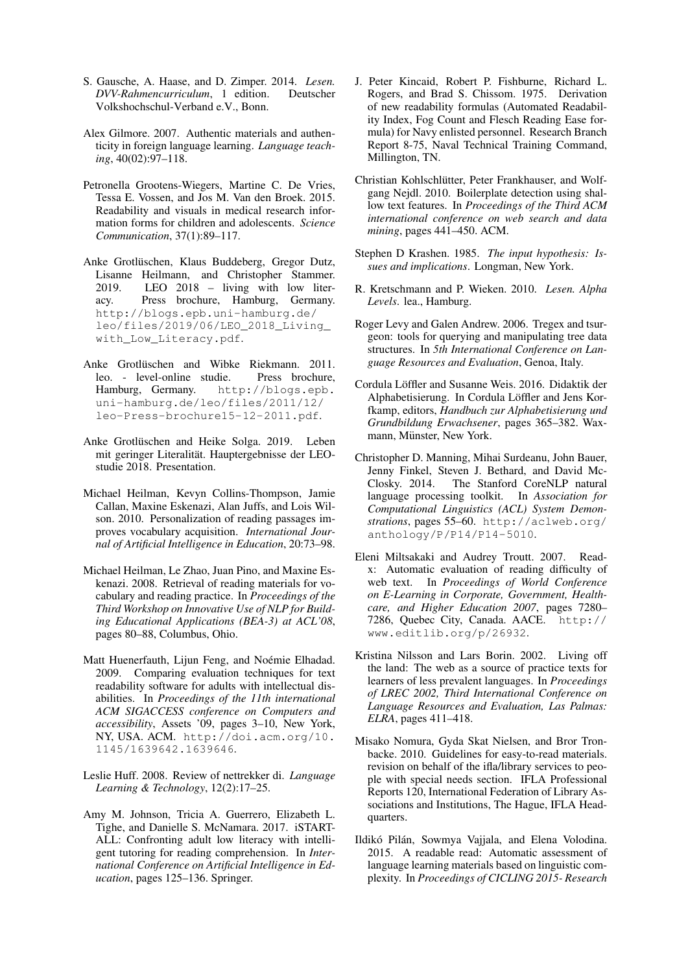- <span id="page-14-18"></span>S. Gausche, A. Haase, and D. Zimper. 2014. *Lesen. DVV-Rahmencurriculum*, 1 edition. Deutscher Volkshochschul-Verband e.V., Bonn.
- <span id="page-14-3"></span>Alex Gilmore. 2007. Authentic materials and authenticity in foreign language learning. *Language teaching*, 40(02):97–118.
- <span id="page-14-9"></span>Petronella Grootens-Wiegers, Martine C. De Vries, Tessa E. Vossen, and Jos M. Van den Broek. 2015. Readability and visuals in medical research information forms for children and adolescents. *Science Communication*, 37(1):89–117.
- <span id="page-14-0"></span>Anke Grotlüschen, Klaus Buddeberg, Gregor Dutz, Lisanne Heilmann, and Christopher Stammer. 2019. LEO 2018 – living with low literacy. Press brochure, Hamburg, Germany. [http://blogs.epb.uni-hamburg.de/](http://blogs.epb.uni-hamburg.de/leo/files/2019/06/LEO_2018_Living_with_Low_Literacy.pdf) [leo/files/2019/06/LEO\\_2018\\_Living\\_](http://blogs.epb.uni-hamburg.de/leo/files/2019/06/LEO_2018_Living_with_Low_Literacy.pdf) [with\\_Low\\_Literacy.pdf](http://blogs.epb.uni-hamburg.de/leo/files/2019/06/LEO_2018_Living_with_Low_Literacy.pdf).
- <span id="page-14-1"></span>Anke Grotlüschen and Wibke Riekmann. 2011. leo. - level-online studie. Press brochure,<br>Hamburg, Germany. http://blogs.epb. [http://blogs.epb.](http://blogs.epb.uni-hamburg.de/leo/files/2011/12/leo-Press-brochure15-12-2011.pdf) [uni-hamburg.de/leo/files/2011/12/](http://blogs.epb.uni-hamburg.de/leo/files/2011/12/leo-Press-brochure15-12-2011.pdf) [leo-Press-brochure15-12-2011.pdf](http://blogs.epb.uni-hamburg.de/leo/files/2011/12/leo-Press-brochure15-12-2011.pdf).
- <span id="page-14-2"></span>Anke Grotlüschen and Heike Solga. 2019. Leben mit geringer Literalität. Hauptergebnisse der LEOstudie 2018. Presentation.
- <span id="page-14-7"></span>Michael Heilman, Kevyn Collins-Thompson, Jamie Callan, Maxine Eskenazi, Alan Juffs, and Lois Wilson. 2010. Personalization of reading passages improves vocabulary acquisition. *International Journal of Artificial Intelligence in Education*, 20:73–98.
- <span id="page-14-15"></span>Michael Heilman, Le Zhao, Juan Pino, and Maxine Eskenazi. 2008. Retrieval of reading materials for vocabulary and reading practice. In *Proceedings of the Third Workshop on Innovative Use of NLP for Building Educational Applications (BEA-3) at ACL'08*, pages 80–88, Columbus, Ohio.
- <span id="page-14-6"></span>Matt Huenerfauth, Lijun Feng, and Noémie Elhadad. 2009. Comparing evaluation techniques for text readability software for adults with intellectual disabilities. In *Proceedings of the 11th international ACM SIGACCESS conference on Computers and accessibility*, Assets '09, pages 3–10, New York, NY, USA. ACM. [http://doi.acm.org/10.](http://doi.acm.org/10.1145/1639642.1639646) [1145/1639642.1639646](http://doi.acm.org/10.1145/1639642.1639646).
- <span id="page-14-14"></span>Leslie Huff. 2008. Review of nettrekker di. *Language Learning & Technology*, 12(2):17–25.
- <span id="page-14-16"></span>Amy M. Johnson, Tricia A. Guerrero, Elizabeth L. Tighe, and Danielle S. McNamara. 2017. iSTART-ALL: Confronting adult low literacy with intelligent tutoring for reading comprehension. In *International Conference on Artificial Intelligence in Education*, pages 125–136. Springer.
- <span id="page-14-8"></span>J. Peter Kincaid, Robert P. Fishburne, Richard L. Rogers, and Brad S. Chissom. 1975. Derivation of new readability formulas (Automated Readability Index, Fog Count and Flesch Reading Ease formula) for Navy enlisted personnel. Research Branch Report 8-75, Naval Technical Training Command, Millington, TN.
- <span id="page-14-19"></span>Christian Kohlschlütter, Peter Frankhauser, and Wolfgang Nejdl. 2010. Boilerplate detection using shallow text features. In *Proceedings of the Third ACM international conference on web search and data mining*, pages 441–450. ACM.
- <span id="page-14-4"></span>Stephen D Krashen. 1985. *The input hypothesis: Issues and implications*. Longman, New York.
- <span id="page-14-17"></span>R. Kretschmann and P. Wieken. 2010. *Lesen. Alpha Levels*. lea., Hamburg.
- <span id="page-14-21"></span>Roger Levy and Galen Andrew. 2006. Tregex and tsurgeon: tools for querying and manipulating tree data structures. In *5th International Conference on Language Resources and Evaluation*, Genoa, Italy.
- <span id="page-14-5"></span>Cordula Löffler and Susanne Weis. 2016. Didaktik der Alphabetisierung. In Cordula Löffler and Jens Korfkamp, editors, *Handbuch zur Alphabetisierung und Grundbildung Erwachsener*, pages 365–382. Waxmann, Münster, New York.
- <span id="page-14-20"></span>Christopher D. Manning, Mihai Surdeanu, John Bauer, Jenny Finkel, Steven J. Bethard, and David Mc-Closky. 2014. The Stanford CoreNLP natural language processing toolkit. In *Association for Computational Linguistics (ACL) System Demonstrations*, pages 55–60. [http://aclweb.org/](http://aclweb.org/anthology/P/P14/P14-5010) [anthology/P/P14/P14-5010](http://aclweb.org/anthology/P/P14/P14-5010).
- <span id="page-14-12"></span>Eleni Miltsakaki and Audrey Troutt. 2007. Readx: Automatic evaluation of reading difficulty of web text. In *Proceedings of World Conference on E-Learning in Corporate, Government, Healthcare, and Higher Education 2007*, pages 7280– 7286, Quebec City, Canada. AACE. [http://](http://www.editlib.org/p/26932) [www.editlib.org/p/26932](http://www.editlib.org/p/26932).
- <span id="page-14-13"></span>Kristina Nilsson and Lars Borin. 2002. Living off the land: The web as a source of practice texts for learners of less prevalent languages. In *Proceedings of LREC 2002, Third International Conference on Language Resources and Evaluation, Las Palmas: ELRA*, pages 411–418.
- <span id="page-14-11"></span>Misako Nomura, Gyda Skat Nielsen, and Bror Tronbacke. 2010. Guidelines for easy-to-read materials. revision on behalf of the ifla/library services to people with special needs section. IFLA Professional Reports 120, International Federation of Library Associations and Institutions, The Hague, IFLA Headquarters.
- <span id="page-14-10"></span>Ildikó Pilán, Sowmya Vajjala, and Elena Volodina. 2015. A readable read: Automatic assessment of language learning materials based on linguistic complexity. In *Proceedings of CICLING 2015- Research*